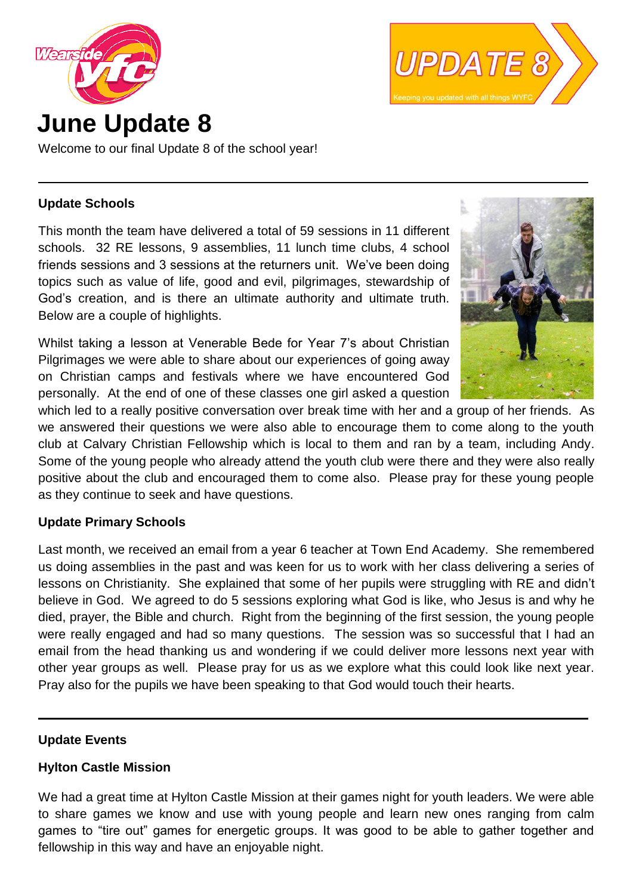



Welcome to our final Update 8 of the school year!

### **Update Schools**

This month the team have delivered a total of 59 sessions in 11 different schools. 32 RE lessons, 9 assemblies, 11 lunch time clubs, 4 school friends sessions and 3 sessions at the returners unit. We've been doing topics such as value of life, good and evil, pilgrimages, stewardship of God's creation, and is there an ultimate authority and ultimate truth. Below are a couple of highlights.

Whilst taking a lesson at Venerable Bede for Year 7's about Christian Pilgrimages we were able to share about our experiences of going away on Christian camps and festivals where we have encountered God personally. At the end of one of these classes one girl asked a question



 **.**

 **.**

which led to a really positive conversation over break time with her and a group of her friends. As we answered their questions we were also able to encourage them to come along to the youth club at Calvary Christian Fellowship which is local to them and ran by a team, including Andy. Some of the young people who already attend the youth club were there and they were also really positive about the club and encouraged them to come also. Please pray for these young people as they continue to seek and have questions.

# **Update Primary Schools**

Last month, we received an email from a year 6 teacher at Town End Academy. She remembered us doing assemblies in the past and was keen for us to work with her class delivering a series of lessons on Christianity. She explained that some of her pupils were struggling with RE and didn't believe in God. We agreed to do 5 sessions exploring what God is like, who Jesus is and why he died, prayer, the Bible and church. Right from the beginning of the first session, the young people were really engaged and had so many questions. The session was so successful that I had an email from the head thanking us and wondering if we could deliver more lessons next year with other year groups as well. Please pray for us as we explore what this could look like next year. Pray also for the pupils we have been speaking to that God would touch their hearts.

#### **Update Events**

# **Hylton Castle Mission**

We had a great time at Hylton Castle Mission at their games night for youth leaders. We were able to share games we know and use with young people and learn new ones ranging from calm games to "tire out" games for energetic groups. It was good to be able to gather together and fellowship in this way and have an enjoyable night.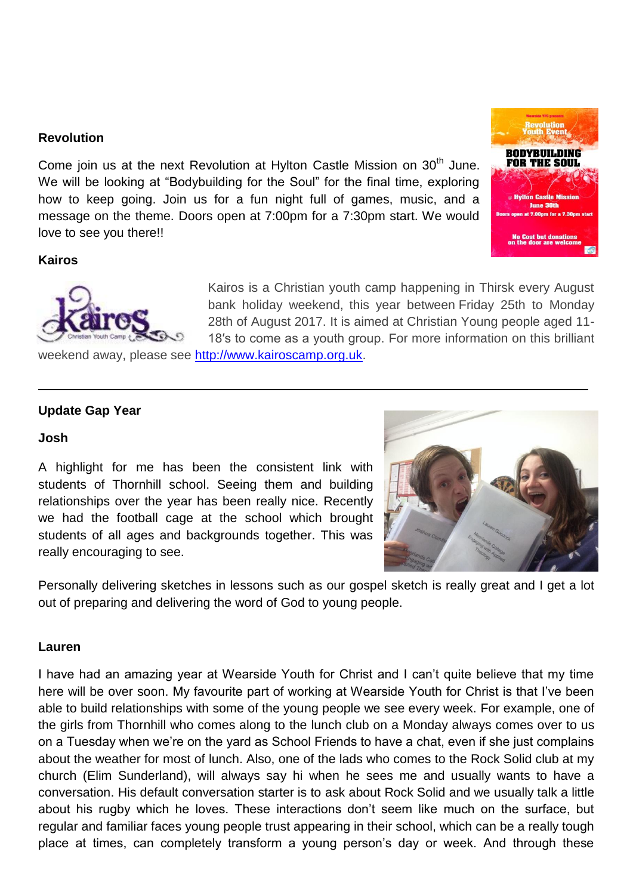### **Revolution**

Come join us at the next Revolution at Hylton Castle Mission on 30<sup>th</sup> June. We will be looking at "Bodybuilding for the Soul" for the final time, exploring how to keep going. Join us for a fun night full of games, music, and a message on the theme. Doors open at 7:00pm for a 7:30pm start. We would love to see you there!!



 **.**

#### **Kairos**



Kairos is a Christian youth camp happening in Thirsk every August bank holiday weekend, this year between Friday 25th to Monday 28th of August 2017. It is aimed at Christian Young people aged 11- 18′s to come as a youth group. For more information on this brilliant

weekend away, please see [http://www.kairoscamp.org.uk.](http://www.kairoscamp.org.uk/)

#### **Update Gap Year**

#### **Josh**

A highlight for me has been the consistent link with students of Thornhill school. Seeing them and building relationships over the year has been really nice. Recently we had the football cage at the school which brought students of all ages and backgrounds together. This was really encouraging to see.



Personally delivering sketches in lessons such as our gospel sketch is really great and I get a lot out of preparing and delivering the word of God to young people.

#### **Lauren**

I have had an amazing year at Wearside Youth for Christ and I can't quite believe that my time here will be over soon. My favourite part of working at Wearside Youth for Christ is that I've been able to build relationships with some of the young people we see every week. For example, one of the girls from Thornhill who comes along to the lunch club on a Monday always comes over to us on a Tuesday when we're on the yard as School Friends to have a chat, even if she just complains about the weather for most of lunch. Also, one of the lads who comes to the Rock Solid club at my church (Elim Sunderland), will always say hi when he sees me and usually wants to have a conversation. His default conversation starter is to ask about Rock Solid and we usually talk a little about his rugby which he loves. These interactions don't seem like much on the surface, but regular and familiar faces young people trust appearing in their school, which can be a really tough place at times, can completely transform a young person's day or week. And through these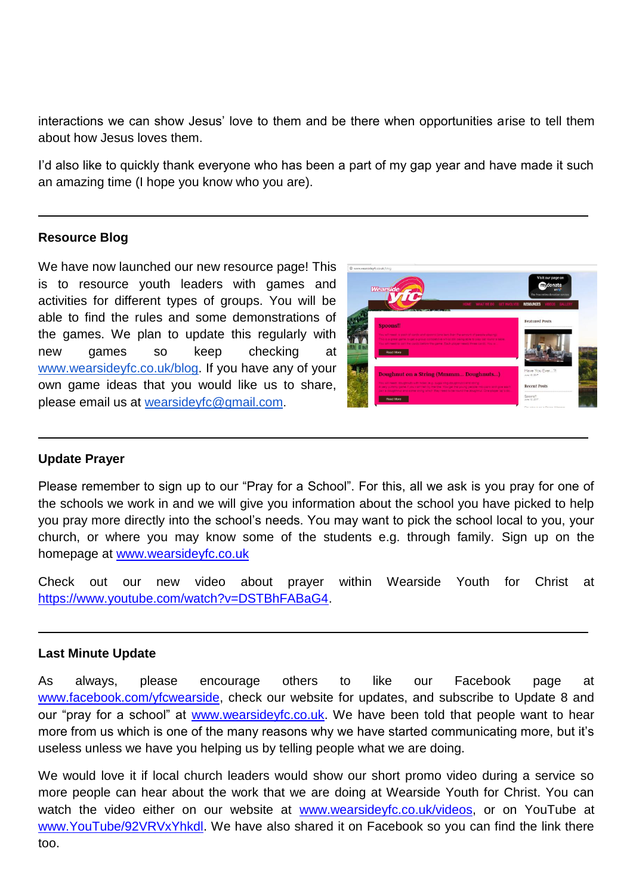interactions we can show Jesus' love to them and be there when opportunities arise to tell them about how Jesus loves them.

I'd also like to quickly thank everyone who has been a part of my gap year and have made it such an amazing time (I hope you know who you are).

### **Resource Blog**

We have now launched our new resource page! This is to resource youth leaders with games and activities for different types of groups. You will be able to find the rules and some demonstrations of the games. We plan to update this regularly with new games so keep checking at [www.wearsideyfc.co.uk/blog.](http://www.wearsideyfc.co.uk/blog) If you have any of your own game ideas that you would like us to share, please email us at [wearsideyfc@gmail.com](mailto:wearsideyfc@gmail.com).



 **.**

 **.**

 **.**

#### **Update Prayer**

Please remember to sign up to our "Pray for a School". For this, all we ask is you pray for one of the schools we work in and we will give you information about the school you have picked to help you pray more directly into the school's needs. You may want to pick the school local to you, your church, or where you may know some of the students e.g. through family. Sign up on the homepage at [www.wearsideyfc.co.uk](http://www.wearsideyfc.co.uk/)

Check out our new video about prayer within Wearside Youth for Christ at [https://www.youtube.com/watch?v=DSTBhFABaG4.](https://www.youtube.com/watch?v=DSTBhFABaG4)

#### **Last Minute Update**

As always, please encourage others to like our Facebook page at [www.facebook.com/yfcwearside,](http://www.facebook.com/yfcwearside) check our website for updates, and subscribe to Update 8 and our "pray for a school" at [www.wearsideyfc.co.uk.](http://www.wearsideyfc.co.uk/) We have been told that people want to hear more from us which is one of the many reasons why we have started communicating more, but it's useless unless we have you helping us by telling people what we are doing.

We would love it if local church leaders would show our short promo video during a service so more people can hear about the work that we are doing at Wearside Youth for Christ. You can watch the video either on our website at [www.wearsideyfc.co.uk/videos,](http://www.wearsideyfc.co.uk/videos) or on YouTube at [www.YouTube/92VRVxYhkdl.](http://www.youtube/92VRVxYhkdl) We have also shared it on Facebook so you can find the link there too.